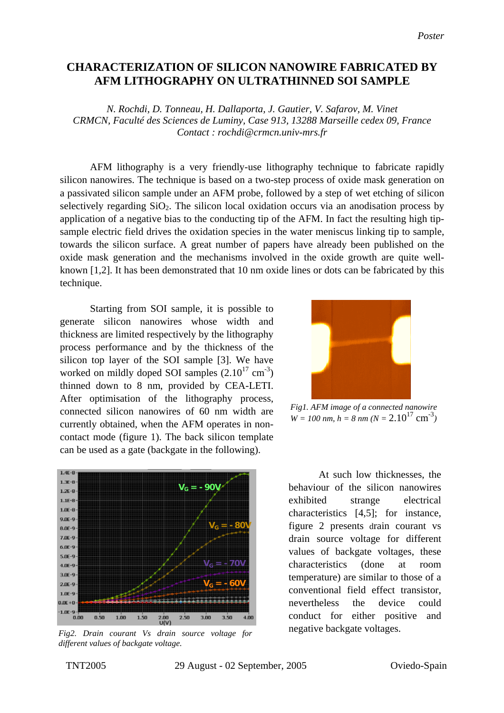## **CHARACTERIZATION OF SILICON NANOWIRE FABRICATED BY AFM LITHOGRAPHY ON ULTRATHINNED SOI SAMPLE**

*N. Rochdi, D. Tonneau, H. Dallaporta, J. Gautier, V. Safarov, M. Vinet CRMCN, Faculté des Sciences de Luminy, Case 913, 13288 Marseille cedex 09, France Contact : rochdi@crmcn.univ-mrs.fr* 

AFM lithography is a very friendly-use lithography technique to fabricate rapidly silicon nanowires. The technique is based on a two-step process of oxide mask generation on a passivated silicon sample under an AFM probe, followed by a step of wet etching of silicon selectively regarding  $SiO<sub>2</sub>$ . The silicon local oxidation occurs via an anodisation process by application of a negative bias to the conducting tip of the AFM. In fact the resulting high tipsample electric field drives the oxidation species in the water meniscus linking tip to sample, towards the silicon surface. A great number of papers have already been published on the oxide mask generation and the mechanisms involved in the oxide growth are quite wellknown [1,2]. It has been demonstrated that 10 nm oxide lines or dots can be fabricated by this technique.

Starting from SOI sample, it is possible to generate silicon nanowires whose width and thickness are limited respectively by the lithography process performance and by the thickness of the silicon top layer of the SOI sample [3]. We have worked on mildly doped SOI samples  $(2.10^{17} \text{ cm}^3)$ thinned down to 8 nm, provided by CEA-LETI. After optimisation of the lithography process, connected silicon nanowires of 60 nm width are currently obtained, when the AFM operates in noncontact mode (figure 1). The back silicon template can be used as a gate (backgate in the following).



*Fig2. Drain courant Vs drain source voltage for different values of backgate voltage.* 



*Fig1. AFM image of a connected nanowire*   $W = 100$  nm,  $h = 8$  nm  $(N = 2.10^{17}$  cm<sup>-3</sup>)

At such low thicknesses, the behaviour of the silicon nanowires exhibited strange electrical characteristics [4,5]; for instance, figure 2 presents drain courant vs drain source voltage for different values of backgate voltages, these characteristics (done at room temperature) are similar to those of a conventional field effect transistor, nevertheless the device could conduct for either positive and negative backgate voltages.